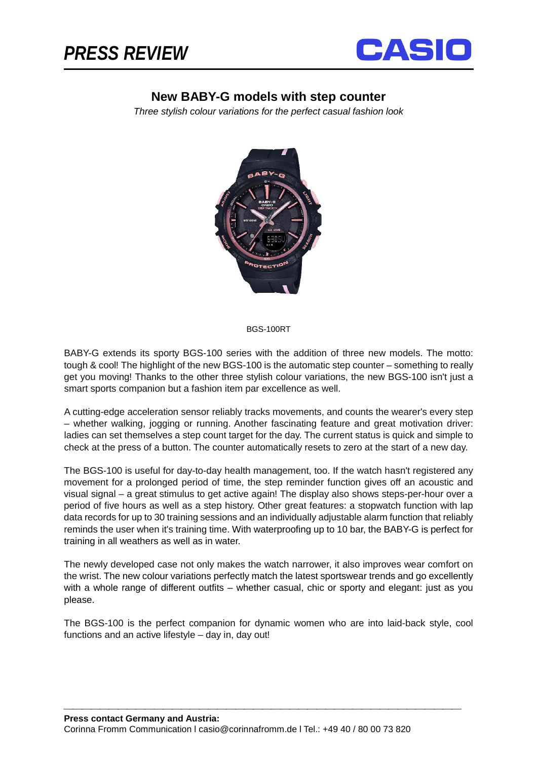

## **New BABY-G models with step counter**

*Three stylish colour variations for the perfect casual fashion look*



## BGS-100RT

BABY-G extends its sporty BGS-100 series with the addition of three new models. The motto: tough & cool! The highlight of the new BGS-100 is the automatic step counter – something to really get you moving! Thanks to the other three stylish colour variations, the new BGS-100 isn't just a smart sports companion but a fashion item par excellence as well.

A cutting-edge acceleration sensor reliably tracks movements, and counts the wearer's every step – whether walking, jogging or running. Another fascinating feature and great motivation driver: ladies can set themselves a step count target for the day. The current status is quick and simple to check at the press of a button. The counter automatically resets to zero at the start of a new day.

The BGS-100 is useful for day-to-day health management, too. If the watch hasn't registered any movement for a prolonged period of time, the step reminder function gives off an acoustic and visual signal – a great stimulus to get active again! The display also shows steps-per-hour over a period of five hours as well as a step history. Other great features: a stopwatch function with lap data records for up to 30 training sessions and an individually adjustable alarm function that reliably reminds the user when it's training time. With waterproofing up to 10 bar, the BABY-G is perfect for training in all weathers as well as in water.

The newly developed case not only makes the watch narrower, it also improves wear comfort on the wrist. The new colour variations perfectly match the latest sportswear trends and go excellently with a whole range of different outfits – whether casual, chic or sporty and elegant: just as you please.

The BGS-100 is the perfect companion for dynamic women who are into laid-back style, cool functions and an active lifestyle – day in, day out!